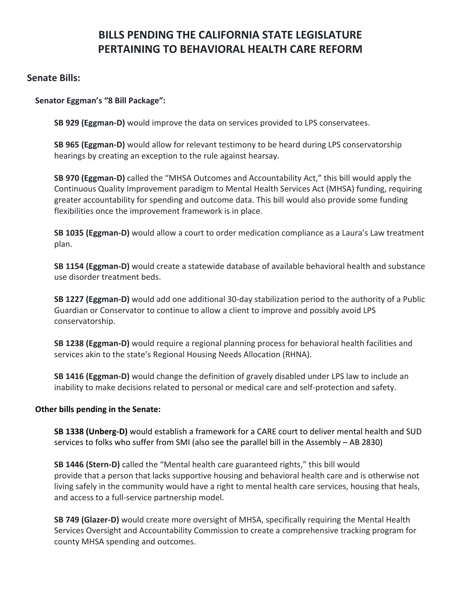# **BILLS PENDING THE CALIFORNIA STATE LEGISLATURE PERTAINING TO BEHAVIORAL HEALTH CARE REFORM**

### **Senate Bills:**

#### **Senator Eggman's "8 Bill Package":**

**SB 929 (Eggman-D)** would improve the data on services provided to LPS conservatees.

**SB 965 (Eggman-D)** would allow for relevant testimony to be heard during LPS conservatorship hearings by creating an exception to the rule against hearsay.

**SB 970 (Eggman-D)** called the "MHSA Outcomes and Accountability Act," this bill would apply the Continuous Quality Improvement paradigm to Mental Health Services Act (MHSA) funding, requiring greater accountability for spending and outcome data. This bill would also provide some funding flexibilities once the improvement framework is in place.

**SB 1035 (Eggman-D)** would allow a court to order medication compliance as a Laura's Law treatment plan.

**SB 1154 (Eggman-D)** would create a statewide database of available behavioral health and substance use disorder treatment beds.

**SB 1227 (Eggman-D)** would add one additional 30-day stabilization period to the authority of a Public Guardian or Conservator to continue to allow a client to improve and possibly avoid LPS conservatorship.

**SB 1238 (Eggman-D)** would require a regional planning process for behavioral health facilities and services akin to the state's Regional Housing Needs Allocation (RHNA).

**SB 1416 (Eggman-D)** would change the definition of gravely disabled under LPS law to include an inability to make decisions related to personal or medical care and self-protection and safety.

#### **Other bills pending in the Senate:**

**SB 1338 (Unberg-D)** would establish a framework for a CARE court to deliver mental health and SUD services to folks who suffer from SMI (also see the parallel bill in the Assembly – AB 2830)

**SB 1446 (Stern-D)** called the "Mental health care guaranteed rights," this bill would provide that a person that lacks supportive housing and behavioral health care and is otherwise not living safely in the community would have a right to mental health care services, housing that heals, and access to a full-service partnership model.

**SB 749 (Glazer-D)** would create more oversight of MHSA, specifically requiring the Mental Health Services Oversight and Accountability Commission to create a comprehensive tracking program for county MHSA spending and outcomes.